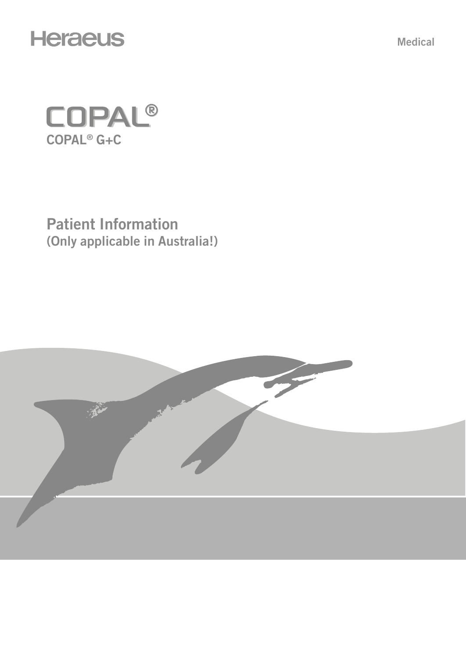

Medical



Patient Information (Only applicable in Australia!)

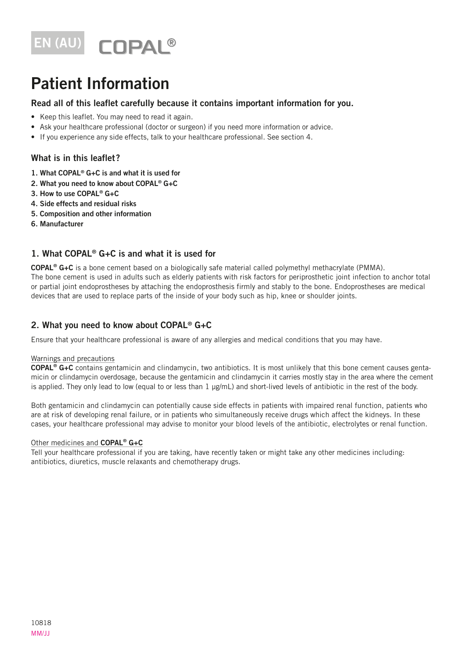

# Patient Information

## Read all of this leaflet carefully because it contains important information for you.

- Keep this leaflet. You may need to read it again.
- Ask your healthcare professional (doctor or surgeon) if you need more information or advice.
- If you experience any side effects, talk to your healthcare professional. See section 4.

## What is in this leaflet?

- 1. What COPAL® G+C is and what it is used for
- 2. What you need to know about COPAL® G+C
- 3. How to use COPAL® G+C
- 4. Side effects and residual risks
- 5. Composition and other information
- 6. Manufacturer

# 1. What COPAL® G+C is and what it is used for

COPAL® G+C is a bone cement based on a biologically safe material called polymethyl methacrylate (PMMA). The bone cement is used in adults such as elderly patients with risk factors for periprosthetic joint infection to anchor total or partial joint endoprostheses by attaching the endoprosthesis firmly and stably to the bone. Endoprostheses are medical devices that are used to replace parts of the inside of your body such as hip, knee or shoulder joints.

## 2. What you need to know about COPAL® G+C

Ensure that your healthcare professional is aware of any allergies and medical conditions that you may have.

#### Warnings and precautions

COPAL® G+C contains gentamicin and clindamycin, two antibiotics. It is most unlikely that this bone cement causes gentamicin or clindamycin overdosage, because the gentamicin and clindamycin it carries mostly stay in the area where the cement is applied. They only lead to low (equal to or less than 1 μg/mL) and short-lived levels of antibiotic in the rest of the body.

Both gentamicin and clindamycin can potentially cause side effects in patients with impaired renal function, patients who are at risk of developing renal failure, or in patients who simultaneously receive drugs which affect the kidneys. In these cases, your healthcare professional may advise to monitor your blood levels of the antibiotic, electrolytes or renal function.

#### Other medicines and COPAL<sup>®</sup> G+C

Tell your healthcare professional if you are taking, have recently taken or might take any other medicines including: antibiotics, diuretics, muscle relaxants and chemotherapy drugs.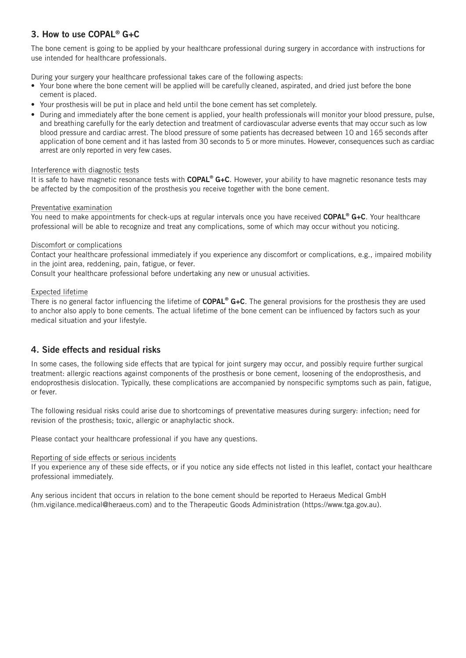# 3. How to use COPAL® G+C

The bone cement is going to be applied by your healthcare professional during surgery in accordance with instructions for use intended for healthcare professionals.

During your surgery your healthcare professional takes care of the following aspects:

- Your bone where the bone cement will be applied will be carefully cleaned, aspirated, and dried just before the bone cement is placed.
- Your prosthesis will be put in place and held until the bone cement has set completely.
- During and immediately after the bone cement is applied, your health professionals will monitor your blood pressure, pulse, and breathing carefully for the early detection and treatment of cardiovascular adverse events that may occur such as low blood pressure and cardiac arrest. The blood pressure of some patients has decreased between 10 and 165 seconds after application of bone cement and it has lasted from 30 seconds to 5 or more minutes. However, consequences such as cardiac arrest are only reported in very few cases.

#### Interference with diagnostic tests

It is safe to have magnetic resonance tests with COPAL® G+C. However, your ability to have magnetic resonance tests may be affected by the composition of the prosthesis you receive together with the bone cement.

#### Preventative examination

You need to make appointments for check-ups at regular intervals once you have received COPAL<sup>®</sup> G+C. Your healthcare professional will be able to recognize and treat any complications, some of which may occur without you noticing.

#### Discomfort or complications

Contact your healthcare professional immediately if you experience any discomfort or complications, e.g., impaired mobility in the joint area, reddening, pain, fatigue, or fever.

Consult your healthcare professional before undertaking any new or unusual activities.

#### Expected lifetime

There is no general factor influencing the lifetime of  $\mathsf{CDPAL}^{\otimes} G+C$ . The general provisions for the prosthesis they are used to anchor also apply to bone cements. The actual lifetime of the bone cement can be influenced by factors such as your medical situation and your lifestyle.

## 4. Side effects and residual risks

In some cases, the following side effects that are typical for joint surgery may occur, and possibly require further surgical treatment: allergic reactions against components of the prosthesis or bone cement, loosening of the endoprosthesis, and endoprosthesis dislocation. Typically, these complications are accompanied by nonspecific symptoms such as pain, fatigue, or fever.

The following residual risks could arise due to shortcomings of preventative measures during surgery: infection; need for revision of the prosthesis; toxic, allergic or anaphylactic shock.

Please contact your healthcare professional if you have any questions.

#### Reporting of side effects or serious incidents

If you experience any of these side effects, or if you notice any side effects not listed in this leaflet, contact your healthcare professional immediately.

Any serious incident that occurs in relation to the bone cement should be reported to Heraeus Medical GmbH (hm.vigilance.medical@heraeus.com) and to the Therapeutic Goods Administration (https://www.tga.gov.au).